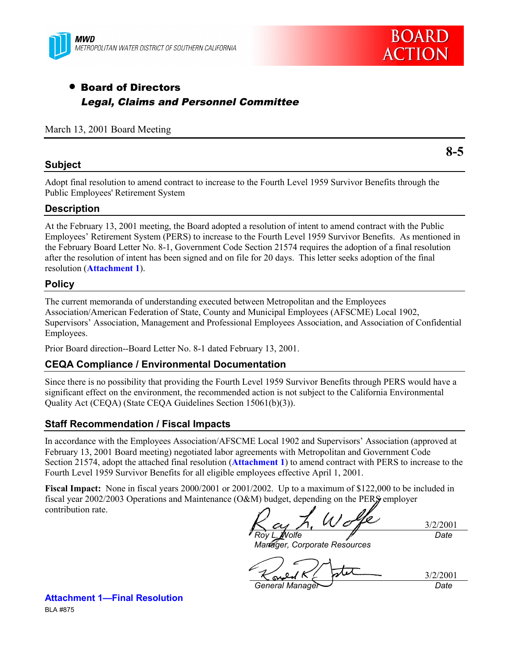



**8-5**

# • Board of Directors Legal, Claims and Personnel Committee

March 13, 2001 Board Meeting

# **Subject**

Adopt final resolution to amend contract to increase to the Fourth Level 1959 Survivor Benefits through the Public Employees' Retirement System

# **Description**

At the February 13, 2001 meeting, the Board adopted a resolution of intent to amend contract with the Public Employees' Retirement System (PERS) to increase to the Fourth Level 1959 Survivor Benefits. As mentioned in the February Board Letter No. 8-1, Government Code Section 21574 requires the adoption of a final resolution after the resolution of intent has been signed and on file for 20 days. This letter seeks adoption of the final resolution (**Attachment 1**).

# **Policy**

The current memoranda of understanding executed between Metropolitan and the Employees Association/American Federation of State, County and Municipal Employees (AFSCME) Local 1902, Supervisors' Association, Management and Professional Employees Association, and Association of Confidential Employees.

Prior Board direction--Board Letter No. 8-1 dated February 13, 2001.

#### **CEQA Compliance / Environmental Documentation**

Since there is no possibility that providing the Fourth Level 1959 Survivor Benefits through PERS would have a significant effect on the environment, the recommended action is not subject to the California Environmental Quality Act (CEQA) (State CEQA Guidelines Section 15061(b)(3)).

#### **Staff Recommendation / Fiscal Impacts**

In accordance with the Employees Association/AFSCME Local 1902 and Supervisors' Association (approved at February 13, 2001 Board meeting) negotiated labor agreements with Metropolitan and Government Code Section 21574, adopt the attached final resolution (**Attachment 1**) to amend contract with PERS to increase to the Fourth Level 1959 Survivor Benefits for all eligible employees effective April 1, 2001.

**Fiscal Impact:** None in fiscal years 2000/2001 or 2001/2002. Up to a maximum of \$122,000 to be included in fiscal year 2002/2003 Operations and Maintenance (O&M) budget, depending on the PERS employer contribution rate.

3/2/2001 *Roy L. Wolfe Date*

*Manager, Corporate Resources*

3/2/2001 *General Manager Date*

**Attachment 1—Final Resolution** BLA #875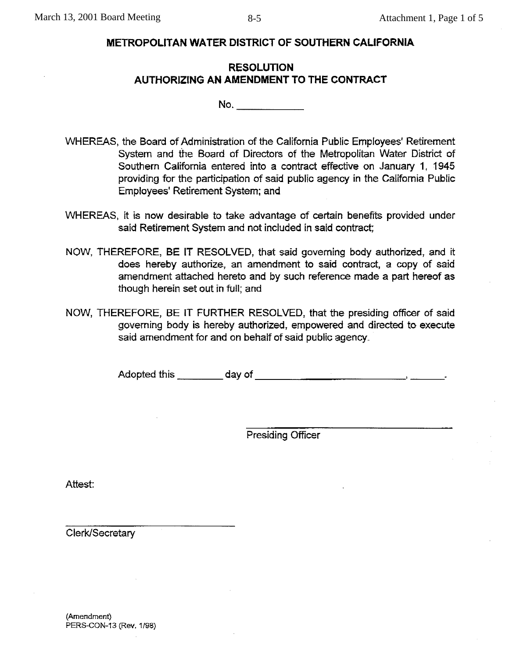# **METROPOLITAN WATER DISTRICT OF SOUTHERN CALIFORNIA**

# **RESOLUTION** AUTHORIZING AN AMENDMENT TO THE CONTRACT

- WHEREAS, the Board of Administration of the California Public Employees' Retirement System and the Board of Directors of the Metropolitan Water District of Southern California entered into a contract effective on January 1, 1945 providing for the participation of said public agency in the California Public Employees' Retirement System; and
- WHEREAS, it is now desirable to take advantage of certain benefits provided under said Retirement System and not included in said contract;
- NOW, THEREFORE, BE IT RESOLVED, that said governing body authorized, and it does hereby authorize, an amendment to said contract, a copy of said amendment attached hereto and by such reference made a part hereof as though herein set out in full; and
- NOW, THEREFORE, BE IT FURTHER RESOLVED, that the presiding officer of said governing body is hereby authorized, empowered and directed to execute said amendment for and on behalf of said public agency.

**Presiding Officer** 

Attest:

Clerk/Secretary

(Amendment) PERS-CON-13 (Rev. 1/98)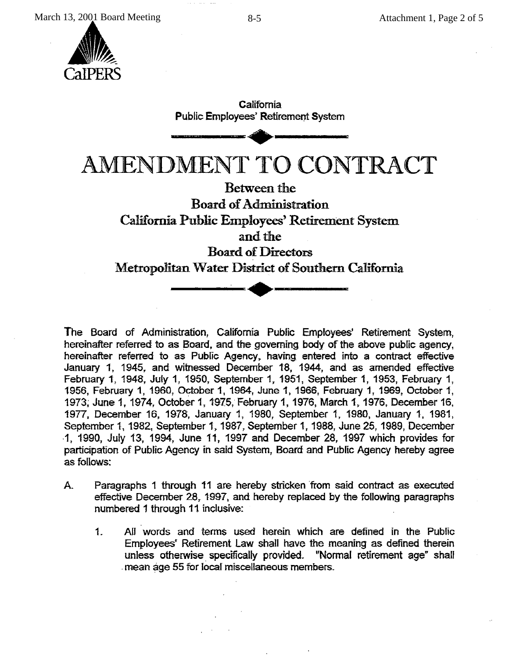

California **Public Employees' Retirement System** AMENDMENT TO CONTRACT **Between the Board of Administration** California Public Employees' Retirement System and the **Board of Directors** Metropolitan Water District of Southern California

The Board of Administration, California Public Employees' Retirement System, hereinafter referred to as Board, and the governing body of the above public agency, hereinafter referred to as Public Agency, having entered into a contract effective January 1, 1945, and witnessed December 18, 1944, and as amended effective February 1, 1948, July 1, 1950, September 1, 1951, September 1, 1953, February 1, 1956, February 1, 1960, October 1, 1964, June 1, 1966, February 1, 1969, October 1, 1973, June 1, 1974, October 1, 1975, February 1, 1976, March 1, 1976, December 16, 1977, December 16, 1978, January 1, 1980, September 1, 1980, January 1, 1981, September 1, 1982, September 1, 1987, September 1, 1988, June 25, 1989, December 1, 1990, July 13, 1994, June 11, 1997 and December 28, 1997 which provides for participation of Public Agency in said System. Board and Public Agency hereby agree as follows:

- Paragraphs 1 through 11 are hereby stricken from said contract as executed  $A_{n}$ effective December 28, 1997, and hereby replaced by the following paragraphs numbered 1 through 11 inclusive:
	- $1.$ All words and terms used herein which are defined in the Public Employees' Retirement Law shall have the meaning as defined therein unless otherwise specifically provided. "Normal retirement age" shall mean age 55 for local miscellaneous members.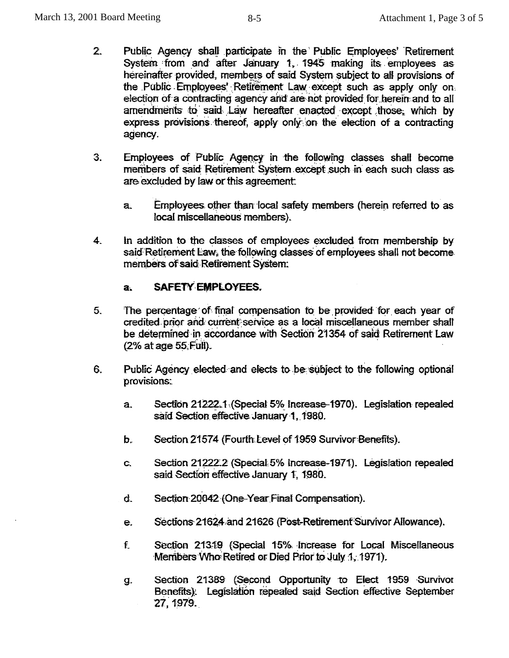- $2.$ Public Agency shall participate in the Public Employees' Retirement System from and after January 1, 1945 making its employees as hereinafter provided, members of said System subject to all provisions of the Public Employees' Retirement Law except such as apply only on election of a contracting agency and are not provided for herein and to all amendments to said Law hereafter enacted except those, which by express provisions thereof, apply only on the election of a contracting agency.
- 3. Employees of Public Agency in the following classes shall become members of said Retirement System except such in each such class as are excluded by law or this agreement.
	- a. Employees other than local safety members (herein referred to as local miscellaneous members).
- $4.$ In addition to the classes of employees excluded from membership by said Retirement Law, the following classes of employees shall not become members of said Retirement System:

#### $a<sub>r</sub>$ **SAFETY EMPLOYEES.**

- 5. The percentage of final compensation to be provided for each year of credited prior and current service as a local miscellaneous member shall be determined in accordance with Section 21354 of said Retirement Law (2% at age 55 Full).
- 6. Public Agency elected and elects to be subject to the following optional provisions:
	- Section 21222.1 (Special 5% Increase-1970). Legislation repealed  $a<sub>z</sub>$ said Section effective January 1, 1980.
	- Section 21574 (Fourth Level of 1959 Survivor Benefits). b.
	- Section 21222.2 (Special 5% Increase-1971). Legislation repealed C. said Section effective January 1, 1980.
	- $\mathbf{d}$ . Section 20042 (One-Year Final Compensation).
	- Sections 21624 and 21626 (Post-Retirement Survivor Allowance). e.
	- $f_{\rm L}$ Section 21319 (Special 15% Increase for Local Miscellaneous Members Who Retired or Died Prior to July 1, 1971).
	- g. Section 21389 (Second Opportunity to Elect 1959 Survivor Benefits). Legislation repealed said Section effective September 27, 1979.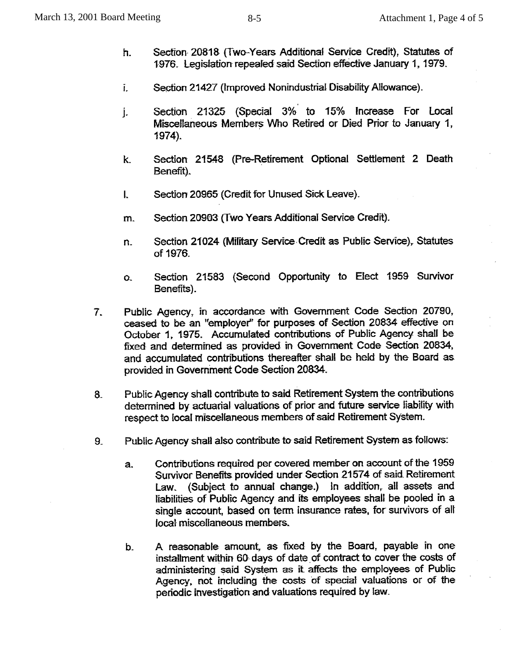- Section 20818 (Two-Years Additional Service Credit), Statutes of h. 1976. Legislation repealed said Section effective January 1, 1979.
- Section 21427 (Improved Nonindustrial Disability Allowance). Ĩ.
- Section 21325 (Special 3% to 15% Increase For Local j. Miscellaneous Members Who Retired or Died Prior to January 1, 1974).
- k. Section 21548 (Pre-Retirement Optional Settlement 2 Death Benefit).
- Section 20965 (Credit for Unused Sick Leave).  $\mathbf{L}$
- Section 20903 (Two Years Additional Service Credit). m.
- Section 21024 (Military Service Credit as Public Service), Statutes n. of 1976.
- Section 21583 (Second Opportunity to Elect 1959 Survivor O. Benefits).
- Public Agency, in accordance with Government Code Section 20790,  $7.$ ceased to be an "employer" for purposes of Section 20834 effective on October 1, 1975. Accumulated contributions of Public Agency shall be fixed and determined as provided in Government Code Section 20834, and accumulated contributions thereafter shall be held by the Board as provided in Government Code Section 20834.
- Public Agency shall contribute to said Retirement System the contributions  $8$ determined by actuarial valuations of prior and future service liability with respect to local miscellaneous members of said Retirement System.
- Public Agency shall also contribute to said Retirement System as follows:  $9<sub>-</sub>$ 
	- Contributions required per covered member on account of the 1959  $a.$ Survivor Benefits provided under Section 21574 of said Retirement Law. (Subject to annual change.) In addition, all assets and liabilities of Public Agency and its employees shall be pooled in a single account, based on term insurance rates, for survivors of all local miscellaneous members.
	- A reasonable amount, as fixed by the Board, payable in one b. installment within 60 days of date of contract to cover the costs of administering said System as it affects the employees of Public Agency, not including the costs of special valuations or of the periodic investigation and valuations required by law.